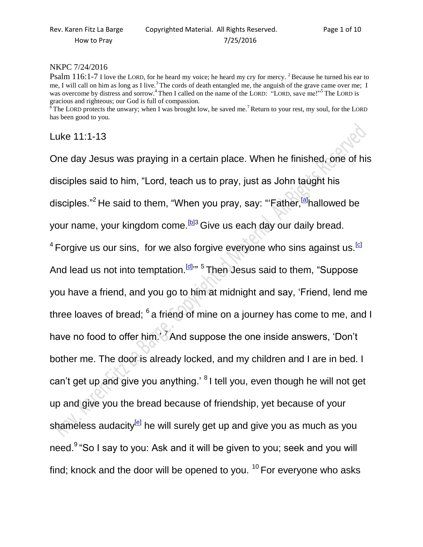## NKPC 7/24/2016

Psalm 116:1-7 I love the LORD, for he heard my voice; he heard my cry for mercy. <sup>2</sup> Because he turned his ear to me, I will call on him as long as I live.<sup>3</sup> The cords of death entangled me, the anguish of the grave came over me; I was overcome by distress and sorrow.<sup>4</sup> Then I called on the name of the LORD: "LORD, save me!"<sup>5</sup> The LORD is gracious and righteous; our God is full of compassion.

The LORD protects the unwary; when I was brought low, he saved me.<sup>7</sup> Return to your rest, my soul, for the LORD has been good to you.

Luke 11:1-13

One day Jesus was praying in a certain place. When he finished, one of his disciples said to him, "Lord, teach us to pray, just as John taught his disciples."<sup>2</sup> He said to them, "When you pray, say: "'Father,<sup>[\[a\]](https://www.biblegateway.com/passage/?search=Luke+11&version=NIV#fen-NIV-25408a)</sup>hallowed be your name, your kingdom come.<sup>[\[b\]](https://www.biblegateway.com/passage/?search=Luke+11&version=NIV#fen-NIV-25408b)3</sup> Give us each day our daily bread.  $^4$  Forgive us our sins, for we also forgive everyone who sins against us.  $^{\text{\tiny{[C]}}}$ And lead us not into temptation.<sup>[\[d\]](https://www.biblegateway.com/passage/?search=Luke+11&version=NIV#fen-NIV-25410d)</sup><sup>,,,</sup> 5 Then Jesus said to them, "Suppose you have a friend, and you go to him at midnight and say, 'Friend, lend me three loaves of bread;  $^6$  a friend of mine on a journey has come to me, and I have no food to offer him. <sup>7</sup> And suppose the one inside answers, 'Don't bother me. The door is already locked, and my children and I are in bed. I can't get up and give you anything.' <sup>8</sup> I tell you, even though he will not get up and give you the bread because of friendship, yet because of your shameless audacity<sup>lel</sup> he will surely get up and give you as much as you need.<sup>9</sup> "So I say to you: Ask and it will be given to you; seek and you will find; knock and the door will be opened to you.  $10$  For everyone who asks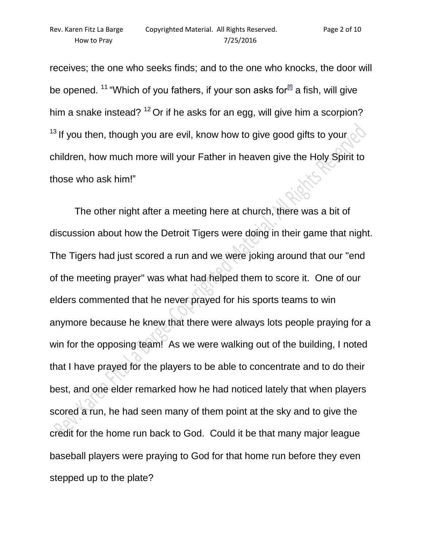receives; the one who seeks finds; and to the one who knocks, the door will be opened. <sup>11</sup> "Which of you fathers, if your son asks for<sup>[\[f\]](https://www.biblegateway.com/passage/?search=Luke+11&version=NIV#fen-NIV-25417f)</sup> a fish, will give him a snake instead?  $12$  Or if he asks for an egg, will give him a scorpion?  $13$  If you then, though you are evil, know how to give good gifts to your. children, how much more will your Father in heaven give the Holy Spirit to those who ask him!"

The other night after a meeting here at church, there was a bit of discussion about how the Detroit Tigers were doing in their game that night. The Tigers had just scored a run and we were joking around that our "end of the meeting prayer" was what had helped them to score it. One of our elders commented that he never prayed for his sports teams to win anymore because he knew that there were always lots people praying for a win for the opposing team! As we were walking out of the building, I noted that I have prayed for the players to be able to concentrate and to do their best, and one elder remarked how he had noticed lately that when players scored a run, he had seen many of them point at the sky and to give the credit for the home run back to God. Could it be that many major league baseball players were praying to God for that home run before they even stepped up to the plate?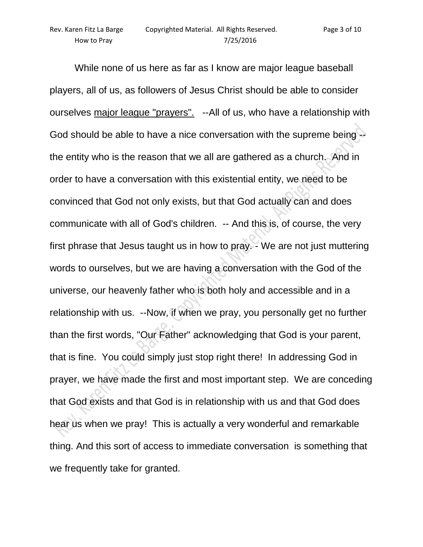While none of us here as far as I know are major league baseball players, all of us, as followers of Jesus Christ should be able to consider ourselves major league "prayers". --All of us, who have a relationship with God should be able to have a nice conversation with the supreme being - the entity who is the reason that we all are gathered as a church. And in order to have a conversation with this existential entity, we need to be convinced that God not only exists, but that God actually can and does communicate with all of God's children. -- And this is, of course, the very first phrase that Jesus taught us in how to pray. - We are not just muttering words to ourselves, but we are having a conversation with the God of the universe, our heavenly father who is both holy and accessible and in a relationship with us. --Now, if when we pray, you personally get no further than the first words, "Our Father" acknowledging that God is your parent, that is fine. You could simply just stop right there! In addressing God in prayer, we have made the first and most important step. We are conceding that God exists and that God is in relationship with us and that God does hear us when we pray! This is actually a very wonderful and remarkable thing. And this sort of access to immediate conversation is something that we frequently take for granted.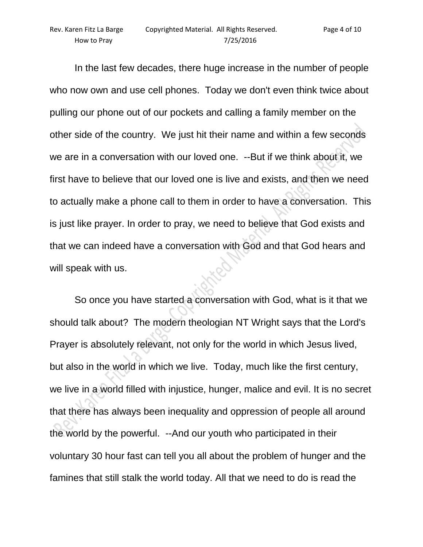In the last few decades, there huge increase in the number of people who now own and use cell phones. Today we don't even think twice about pulling our phone out of our pockets and calling a family member on the other side of the country. We just hit their name and within a few seconds we are in a conversation with our loved one. --But if we think about it, we first have to believe that our loved one is live and exists, and then we need to actually make a phone call to them in order to have a conversation. This is just like prayer. In order to pray, we need to believe that God exists and that we can indeed have a conversation with God and that God hears and will speak with us.

So once you have started a conversation with God, what is it that we should talk about? The modern theologian NT Wright says that the Lord's Prayer is absolutely relevant, not only for the world in which Jesus lived, but also in the world in which we live. Today, much like the first century, we live in a world filled with injustice, hunger, malice and evil. It is no secret that there has always been inequality and oppression of people all around the world by the powerful. --And our youth who participated in their voluntary 30 hour fast can tell you all about the problem of hunger and the famines that still stalk the world today. All that we need to do is read the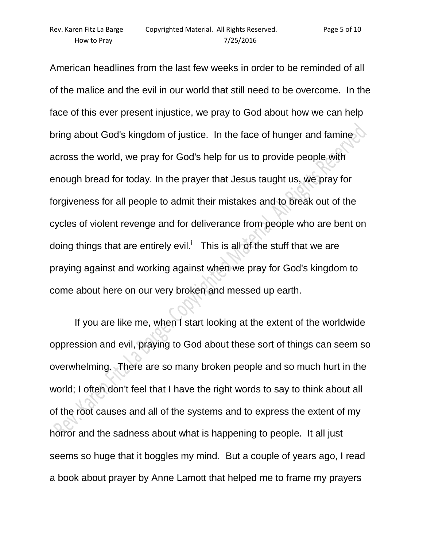American headlines from the last few weeks in order to be reminded of all of the malice and the evil in our world that still need to be overcome. In the face of this ever present injustice, we pray to God about how we can help bring about God's kingdom of justice. In the face of hunger and famine across the world, we pray for God's help for us to provide people with enough bread for today. In the prayer that Jesus taught us, we pray for forgiveness for all people to admit their mistakes and to break out of the cycles of violent revenge and for deliverance from people who are bent on doing things that are entirely evil.<sup>i</sup> This is all of the stuff that we are praying against and working against when we pray for God's kingdom to come about here on our very broken and messed up earth.

If you are like me, when I start looking at the extent of the worldwide oppression and evil, praying to God about these sort of things can seem so overwhelming. There are so many broken people and so much hurt in the world; I often don't feel that I have the right words to say to think about all of the root causes and all of the systems and to express the extent of my horror and the sadness about what is happening to people. It all just seems so huge that it boggles my mind. But a couple of years ago, I read a book about prayer by Anne Lamott that helped me to frame my prayers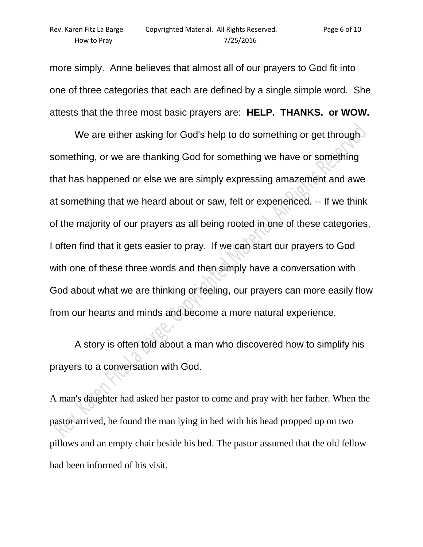more simply. Anne believes that almost all of our prayers to God fit into one of three categories that each are defined by a single simple word. She attests that the three most basic prayers are: **HELP. THANKS. or WOW.**

We are either asking for God's help to do something or get through something, or we are thanking God for something we have or something that has happened or else we are simply expressing amazement and awe at something that we heard about or saw, felt or experienced. -- If we think of the majority of our prayers as all being rooted in one of these categories, I often find that it gets easier to pray. If we can start our prayers to God with one of these three words and then simply have a conversation with God about what we are thinking or feeling, our prayers can more easily flow from our hearts and minds and become a more natural experience.

A story is often told about a man who discovered how to simplify his prayers to a conversation with God.

A man's daughter had asked her pastor to come and pray with her father. When the pastor arrived, he found the man lying in bed with his head propped up on two pillows and an empty chair beside his bed. The pastor assumed that the old fellow had been informed of his visit.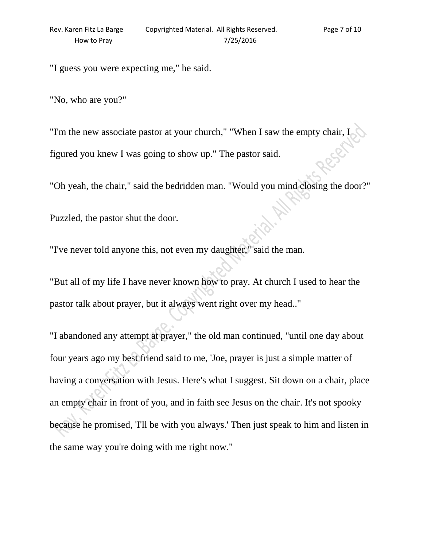"I guess you were expecting me," he said.

"No, who are you?"

"I'm the new associate pastor at your church," "When I saw the empty chair, I figured you knew I was going to show up." The pastor said.

"Oh yeah, the chair," said the bedridden man. "Would you mind closing the door?"

Puzzled, the pastor shut the door.

"I've never told anyone this, not even my daughter," said the man.

"But all of my life I have never known how to pray. At church I used to hear the pastor talk about prayer, but it always went right over my head.."

"I abandoned any attempt at prayer," the old man continued, "until one day about four years ago my best friend said to me, 'Joe, prayer is just a simple matter of having a conversation with Jesus. Here's what I suggest. Sit down on a chair, place an empty chair in front of you, and in faith see Jesus on the chair. It's not spooky because he promised, 'I'll be with you always.' Then just speak to him and listen in the same way you're doing with me right now."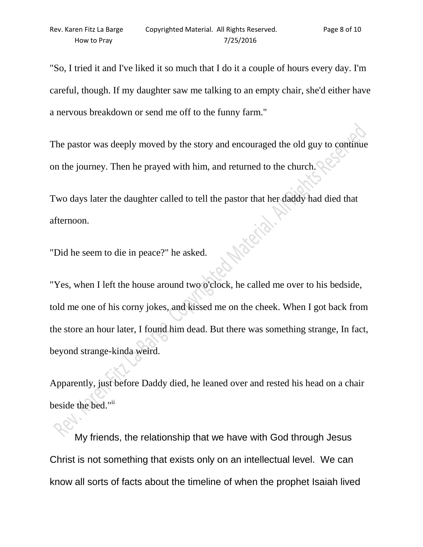"So, I tried it and I've liked it so much that I do it a couple of hours every day. I'm careful, though. If my daughter saw me talking to an empty chair, she'd either have a nervous breakdown or send me off to the funny farm."

The pastor was deeply moved by the story and encouraged the old guy to continue on the journey. Then he prayed with him, and returned to the church.

Two days later the daughter called to tell the pastor that her daddy had died that afternoon.

"Did he seem to die in peace?" he asked.

"Yes, when I left the house around two o'clock, he called me over to his bedside, told me one of his corny jokes, and kissed me on the cheek. When I got back from the store an hour later, I found him dead. But there was something strange, In fact, beyond strange-kinda weird.

Apparently, just before Daddy died, he leaned over and rested his head on a chair beside the bed."ii

My friends, the relationship that we have with God through Jesus Christ is not something that exists only on an intellectual level. We can know all sorts of facts about the timeline of when the prophet Isaiah lived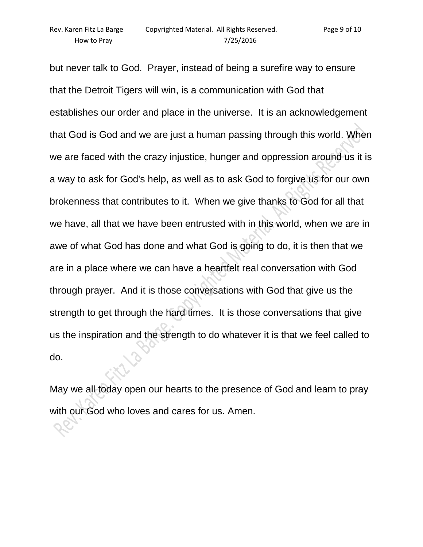but never talk to God. Prayer, instead of being a surefire way to ensure that the Detroit Tigers will win, is a communication with God that establishes our order and place in the universe. It is an acknowledgement that God is God and we are just a human passing through this world. When we are faced with the crazy injustice, hunger and oppression around us it is a way to ask for God's help, as well as to ask God to forgive us for our own brokenness that contributes to it. When we give thanks to God for all that we have, all that we have been entrusted with in this world, when we are in awe of what God has done and what God is going to do, it is then that we are in a place where we can have a heartfelt real conversation with God through prayer. And it is those conversations with God that give us the strength to get through the hard times. It is those conversations that give us the inspiration and the strength to do whatever it is that we feel called to do.

May we all today open our hearts to the presence of God and learn to pray with our God who loves and cares for us. Amen.